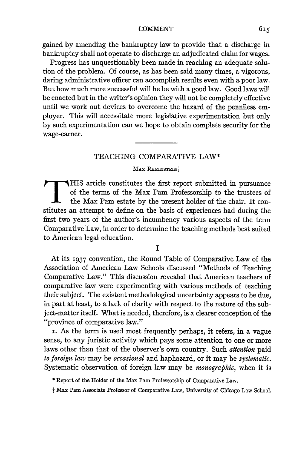gained by amending the bankruptcy law to provide that a discharge in bankruptcy shall not operate to discharge an adjudicated claim for wages.

Progress has unquestionably been made in reaching an adequate solution of the problem. Of course, as has been said many times, a vigorous, daring administrative officer can accomplish results even with a poor law. But how nuch more successful will he be with a good law. Good laws will be enacted but in the writer's opinion they will not be completely effective until we work out devices to overcome the hazard of the penniless employer. This will necessitate more legislative experimentation but only by such experimentation can we hope to obtain complete security for the wage-earner.

# TEACHING COMPARATIVE LAW\*

## **MAX RHEINSTEINT**

THIS article constitutes the first report submitted in pursuance of the terms of the Max Pam Professorship to the trustees of the Max Pam estate by the present holder of the chair. It constitutes an attempt to define on the basis of experiences had during the first two years of the author's incumbency various aspects of the term Comparative Law, in order to determine the teaching methods best suited to American legal education.

# I

At its 1937 convention, the Round Table of Comparative Law of the Association of American Law Schools discussed "Methods of Teaching Comparative Law." This discussion revealed that American teachers of comparative law were experimenting with various methods of teaching their subject. The existent methodological uncertainty appears to be due, in part at least, to a lack of clarity with respect to the nature of the subject-matter itself. What is needed, therefore, is a clearer conception of the "province of comparative law."

i. As the term is used most frequently perhaps, it refers, in a vague sense, to any juristic activity which pays some attention to one or more laws other than that of the observer's own country. Such *attention* paid *to foreign law* may be *occasional* and haphazard, or it may be *systematic.* Systematic observation of foreign law may be *monographic,* when it is

\* Report of the Holder of the Max Pam Professorship of Comparative Law.

t Max Pam Associate Professor of Comparative Law, University of Chicago Law School.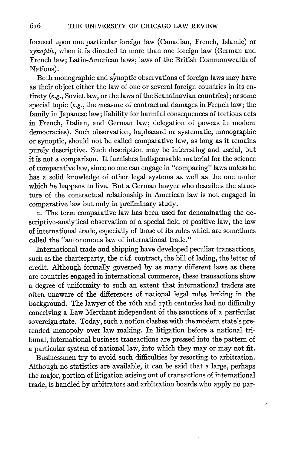focused upon one particular foreign law (Canadian, French, Islamic) or *synoptic,* when it is directed to more than one foreign law (German and French law; Latin-American laws; laws of the British Commonwealth of Nations).

Both monographic and synoptic observations of foreign laws may have as their object either the law of one or several foreign countries in its entirety *(e.g.,* Soviet law, or the laws of the Scandinavian countries); or some special topic *(e.g., the measure of contractual damages in French law; the* family in Japanese law; liability for harmful consequences of tortious acts in French, Italian, and German law; delegation of powers in modern democracies). Such observation, haphazard or systematic, monographic or synoptic, should not be called comparative law, as long as it remains purely descriptive. Such description may be interesting and useful, but it is not a comparison. It furnishes indispensable material for the science of comparative law, since no one can engage in "comparing" laws unless he has a solid knowledge of other legal systems as well as the one under which he happens to live. But a German lawyer who describes the structure of the contractual relationship in American law is not engaged in comparative law but only in preliminary study.

2. The term comparative law has been used for denominating the descriptive-analytical observation of a special field of positive law, the law of international trade, especially of those of its rules which are sometimes called the "autonomous law of international trade."

International trade and shipping have developed peculiar transactions, such as the charterparty, the c.i.f. contract, the bill of lading, the letter of credit. Although formally governed by as many different laws as there are countries engaged in international commerce, these transactions show a degree of uniformity to such an extent that international traders are often unaware of the differences of national legal rules lurking in the background. The lawyer of the i6th and i7th centuries had no difficulty conceiving a Law Merchant independent of the sanctions of a particular sovereign state. Today, such a notion clashes with the modern state's pretended monopoly over law making. In litigation before a national tribunal, international business transactions are pressed into the pattern of a particular system of national law, into which they may or may not fit.

Businessmen try to avoid such difficulties by resorting to arbitration. Although no statistics are available, it can be said that a large, perhaps the major, portion of litigation arising out of transactions of international trade, is handled by arbitrators and arbitration boards who apply no par-

٥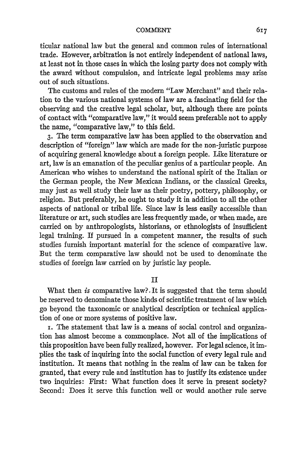ticular national law but the general and common rules of international trade. However, arbitration is not entirely independent of national laws, at least not in those cases in which the losing party does not comply with the award without compulsion, and intricate legal problems may arise out of such situations.

The customs and rules of the modern "Law Merchant" and their relation to the various national systems of law are a fascinating field for the observing and the creative legal scholar, but, although there are points of contact with "comparative law," it would seem preferable not to apply the name, "comparative law," to this field.

**3.** The term comparative law has been applied to the observation and description of "foreign" law which are made for the non-juristic purpose of acquiring general knowledge about a foreign people. Like literature or art, law is an emanation of the peculiar genius of a particular people. An American who wishes to understand the national spirit of the Italian or the German people, the New Mexican Indians, or the classical Greeks, may just as well study their law as their poetry, pottery, philosophy, or religion. But preferably, he ought to study it in addition to all the other aspects of national or tribal life. Since law is less easily accessible than literature or art, such studies are less frequently made, or when made, are carried on by anthropologists, historians, or ethnologists of insufficient legal training. If pursued in a competent manner, the results of such studies furnish important material for the science of comparative law. But the term comparative law should not be used to denominate the studies of foreign law carried on by juristic lay people.

# II

What then *is* comparative law?. It is suggested that the term should be reserved to denominate those kinds of scientific treatment of law which go beyond the taxonomic or analytical description or technical application of one or more systems of positive law.

i. The statement that law is a means of social control and organization has almost become a commonplace. Not all of the implications of this proposition have been fully realized, however. For legal science, it implies the task of inquiring into the social function of every legal rule and institution. It means that nothing in the realm of law can be taken for granted, that every rule and institution has to justify its existence under two inquiries: First: What function does it serve in present society? Second: Does it serve this function well or would another rule serve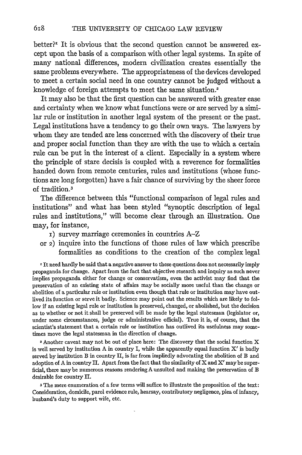better?' It is obvious that the second question cannot be answered except upon the basis **of** a comparison with other legal systems. In spite of many national differences, modern civilization creates essentially the same problems everywhere. The appropriateness of the devices developed to meet a certain social need in one country cannot be judged without a knowledge of foreign attempts to meet the same situation.2

It may also be that the first question can be answered with greater ease and certainty when we know what functions were or are served **by** a similar rule or institution in another legal system of the present or the past. Legal institutions have a tendency to go their own ways. The lawyers **by** whom they are tended are less concerned with the discovery of their true and proper social function than they are with the use to which a certain rule can be put in the interest of a client. Especially in a system where the principle of stare decisis is coupled with a reverence for formalities handed down from remote centuries, rules and institutions (whose functions are long forgotten) have a fair chance of surviving **by** the sheer force of tradition. <sup>3</sup>

The difference between this "functional comparison of legal rules and institutions" and what has been styled "synoptic description of legal rules and institutions," will become **clear** through an illustration. One may, for instance,

- **i)** survey marriage ceremonies in countries A-Z
- or **2)** inquire into the functions of those rules of law which prescribe formalities as conditions to the creation of the complex legal

If need hardly be said that a negative answer to these questions does not necessarily imply propaganda for change. Apart from the fact that objective research and inquiry as such never implies propaganda either for change or conservatism, even the activist may find that the preservation of an existing state of affairs may be socially more useful than the change or abolition of a particular rule or institution even though that rule or institution may have outlived its function or serve it badly. Science may point out the results which are likely to follow if an existing legal rule or institution is preserved, changed, or abolished, but the decision as to whether or not it shall **be** preserved will be made **by** the legal statesman (legislator or, under some circumstances, judge or administrative official). True it is, of course, that the scientist's statement that a certain rule or institution has outlived its usefulness may sometimes move the legal statesman in the direction of change.

**<sup>2</sup>**Another caveat may not be out of place here: The discovery that the social function X is well served **by** institution **A** in country I, while the apparently equal function X' is **badly** served **by** institution **B** in country **I,** is far from impliedly advocating the abolition of B and adoption of **A** in country **I.** Apart from the fact that the similarity of X and **X'** may be superficial, there maybe numerous reasons rendering **A** unsuited and making the preservation of B desirable for country IL

**3** The mere enumeration of a few terms will suffice to illustrate the proposition of the text: Consideration, domicile, parol evidence rule, hearsay, contributory negligence, plea of infancy, husband's duty to support wife, etc.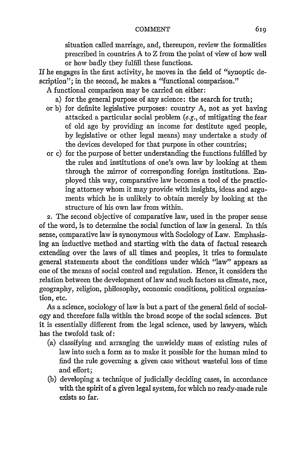situation called marriage, and, thereupon, review the formalities prescribed in countries A to Z from the point of view of how well or how badly they fulfill these functions.

If he engages in the first activity, he moves in the field of "synoptic description"; in the second, he makes a "functional comparison."

A functional comparison may be carried on either:

- a) for the general purpose of any science: the search for truth;
- or b) for definite legislative purposes: country A, not as yet having attacked a particular social problem (e.g., of mitigating the fear of old age by providing an income for destitute aged people, by legislative or other legal means) may undertake a study of the devices developed for that purpose in other countries;
- or c) for the purpose of better understanding the functions fulfilled by the rules and institutions of one's own law by looking at them through the mirror of corresponding foreign institutions. Employed this way, comparative law becomes a tool of the practicing attorney whom it may provide with insights, ideas and arguments which he is unlikely to obtain merely by looking at the structure of his own law from within.

2. The second objective of comparative law, used in the proper sense of the word, is to determine the social function of law in general. In this sense, comparative law is synonymous with Sociology of Law. Emphasizing an inductive method and starting with the data of factual research extending over the laws of all times and peoples, it tries to formulate general statements about the conditions under which "law" appears as one of the means of social control and regulation. Hence, it considers the relation between the development of law and such factors as climate, race, geography, religion, philosophy, economic conditions, political organization, etc.

As a science, sociology of law is but a part of the general field of sociology and therefore falls within the broad scope of the social sciences. But it is essentially different from the legal science, used by lawyers, which has the twofold task of:

- (a) classifying and arranging the unwieldy mass of existing rules of law into such a form as to make it possible for the human mind to find the rule governing a given case without wasteful loss of time and effort;
- (b) developing a technique of judicially deciding cases, in accordance with the spirit of a given legal system, for which no ready-made rule exists so far.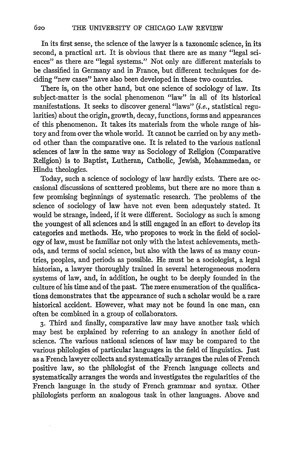In its first sense, the science of the lawyer is a taxonomic science, in its second, a practical art. It is obvious that there are as many "legal sciences" as there are "legal systems." Not only are different materials to be classified in Germany and in France, but different techniques for deciding "new cases" have also been developed in these two countries.

There is, on the other hand, but one science of sociology of law. Its subject-matter is the social phenomenon "law" in all of its historical manifestations. It seeks to discover general "laws" (i.e., statistical regularities) about the origin, growth, decay, functions, forms and appearances of this phenomenon. It takes its materials from the whole range of history and from over the whole world. It cannot be carried on by any method other than the comparative one. It is related to the various national sciences of law in the same way as Sociology of Religion (Comparative Religion) is to Baptist, Lutheran, Catholic, Jewish, Mohammedan, or Hindu theologies.

Today, such a science of sociology of law hardly exists. There are occasional discussions of scattered problems, but there are no more than a few promising beginnings of systematic research. The problems of the science of sociology of law have not even been adequately stated. It would be strange, indeed, if it were different. Sociology as such is among the youngest of all sciences and is still engaged in an effort to develop its categories and methods. He, who proposes to work in the field of sociology of law, must be familiar not only with the latest achievements, methods, and terms of social science, but also with the laws of as many countries, peoples, and periods as possible. He must be a sociologist, a legal historian, a lawyer thoroughly trained in several heterogeneous modem systems of law, and, in addition, he ought to be deeply founded in the culture of his time and of the past. The mere enumeration of the qualifications demonstrates that the appearance of such a scholar would be a rare historical accident. However, what may not be found in one man, can often be combined in a group of collaborators.

**3.** Third and finally, comparative law may have another task which may best be explained by referring to an analogy in another field of science. The various national sciences of law may be compared to the various philologies of particular languages in the field of linguistics. Just as a French lawyer collects and systematically arranges the rules of French positive law, so the philologist of the French language collects and systematically arranges the words and investigates the regularities of the French language in the study of French grammar and syntax. Other philologists perform an analogous task in other languages. Above and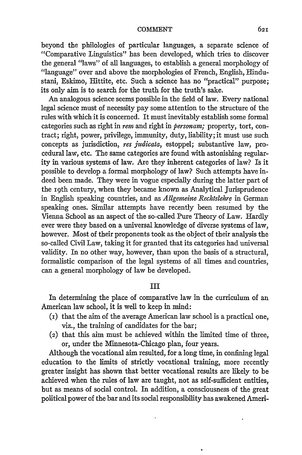beyond the philologies of particular languages, a separate science of "Comparative Linguistics" has been developed, which tries to discover the general "laws" of all languages, to establish a general morphology of "language" over and above the morphologies of French, English, Hindustani, Eskimo, Hittite, etc. Such a science has no "practical" purpose; its only aim is to search for the truth for the truth's sake.

An analogous science seems possible in the field of law. Every national legal science must of necessity pay some attention to the structure of the rules with which it is concerned. It must inevitably establish some formal categories such as right in *rem* and right in *personam;* property, tort, contract; right, power, privilege, immunity, duty, liability; it must use such concepts as jurisdiction, *res judicata,* estoppel; substantive law, procedural law, etc. The same categories are found with astonishing regularity in various systems of law. Are they inherent categories of law? Is it possible to develop a formal morphology of law? Such attempts have indeed been made. They were in vogue especially during the latter part of the roth century, when they became known as Analytical Jurisprudence in English speaking countries, and as *Allgemeine Rechtslehre* in German speaking ones. Similar attempts have recently been resumed by the Vienna School as an aspect of the so-called Pure Theory of Law. Hardly ever were they based on a universal knowledge of diverse systems of law, however. Most of their proponents took as the object of their analysis the so-called Civil Law, taking it for granted that its categories had universal validity. In no other way, however, than upon the basis of a structural, formalistic comparison of the legal systems of all times and countries, can a general morphology of law be developed.

## III

In determining the place of comparative law in the curriculum of an American law school, it is well to keep in mind:

- (i) that the aim of the average American law school is a practical one, viz., the training of candidates for the bar;
- (2) that this aim must be achieved within the limited time of three, or, under the Minnesota-Chicago plan, four years.

Although the vocational aim resulted, for a long time, in confining legal education to the limits of strictly vocational training, more recently greater insight has shown that better vocational results are likely to be achieved when the rules of law are taught, not as self-sufficient entities, but as means of social control. In addition, a consciousness of the great political power of the bar and its social responsibility has awakened Ameri-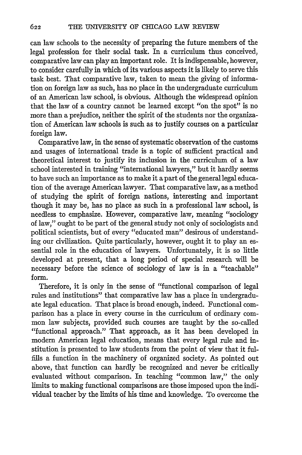can law schools to the necessity of preparing the future members of the legal profession for their social task. In a curriculum thus conceived, comparative law can play an important role. It is indispensable, however, to consider carefully in which of its various aspects it is likely to serve this task best. That comparative law, taken to mean the giving of information on foreign law as such, has no place in the undergraduate curriculum of an American law school, is obvious. Although the widespread opinion that the law of a country cannot be learned except "on the spot" is no more than a prejudice, neither the spirit of the students nor the organization of American law schools is such as to justify courses on a particular foreign law.

Comparative law, in the sense of systematic observation of the customs and usages of international trade is a topic of sufficient practical and theoretical interest to justify its inclusion in the curriculum of a law school interested in training "international lawyers," but it hardly seems to have such an importance as to make it a part of the general legal education of the average American lawyer. That comparative law, as a method of studying the spirit of foreign nations, interesting and important though it may be, has no place as such in a professional law school, is needless to emphasize. However, comparative law, meaning "sociology of law," ought to be part of the general study not only of sociologists and political scientists, but of every "educated man" desirous of understanding our civilization. Quite particularly, however, ought it to play an essential role in the education of lawyers. Unfortunately, it is so little developed at present, that a long period of special research will be necessary before the science of sociology of law is in a "teachable" form.

Therefore, it is only in the sense of "functional comparison of legal rules and institutions" that comparative law has a place in undergraduate legal education. That place is broad enough, indeed. Functional comparison has a place in every course in the curriculum of ordinary common law subjects, provided such courses are taught by the so-called "functional approach." That approach, as it has been developed in modern American legal education, means that every legal rule and institution is presented to law students from the point of view that it fulfills a function in the machinery of organized society. As pointed out above, that function can hardly be recognized and never be critically evaluated without comparison. In teaching "common law," the only limits to making functional comparisons are those imposed upon the individual teacher by the limits of his time and knowledge. To overcome the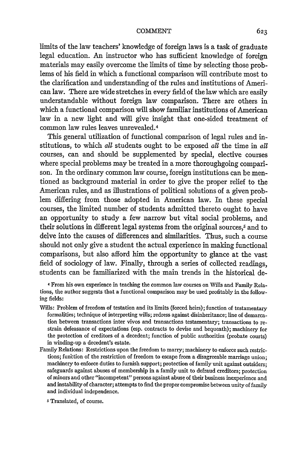limits of the law teachers' knowledge of foreign laws is a task of graduate legal education. An instructor who has sufficient knowledge of foreign materials may easily overcome the limits of time by selecting those problems of his field in which a functional comparison will contribute most to the clarification and understanding of the rules and institutions of American law. There are wide stretches in every field of the law which are easily understandable without foreign law comparison. There are others in which a functional comparison will show familiar institutions of American law in a new light and will give insight that one-sided treatment of common law rules leaves unrevealed.<sup>4</sup>

This general utilization of functional comparison of legal rules and institutions, to which *all* students ought to be exposed *all* the time in *all* courses, can and should be supplemented by special, elective courses where special problems may be treated in a more thoroughgoing comparison. In the ordinary common law course, foreign institutions can be mentioned as background material in order to give the proper relief to the American rules, and as illustrations of political solutions of a given problem differing from those adopted in American law. In these special courses, the limited number of students admitted thereto ought to have an opportunity to study a few narrow but vital social problems, and their solutions in different legal systems from the original sources,<sup>5</sup> and to delve into the causes of differences and similarities. Thus, such a course should not only give a student the actual experience in making functional comparisons, but also afford him the opportunity to glance at the vast field of sociology of law. Finally, through a series of collected readings, students can be familiarized with the main trends in the historical de-

4 From his own experience in teaching the common law courses on Wills and Family Relations, the author suggests that a functional comparison may be used profitably in the following fields:

- Wills: Problem of freedom of testation and its limits (forced heirs); function of testamentary formalities; technique of interpreting wills; redress against disinheritance; line of demarcation between transactions inter vivos and transactions testamentary; transactions to restrain defeasance of expectations (esp. contracts to devise and bequeath); machinery for the protection of creditors of a decedent; function of public authorities (probate courts) in winding-up a decedent's estate.
- Family Relations: Restrictions upon the freedom to marry; machinery to enforce such restrictions; function of the restriction of freedom to escape from a disagreeable marriage union; machinery to enforce duties to furnish support; protection of family unit against outsiders; safeguards against abuses of membership in a family unit to defraud creditors; protection of minors and other "incompetent" persons against abuse of their business inexperience and and instability of character; attempts to find the proper compromise between unity of family and individual independence.

S Translated, of course.